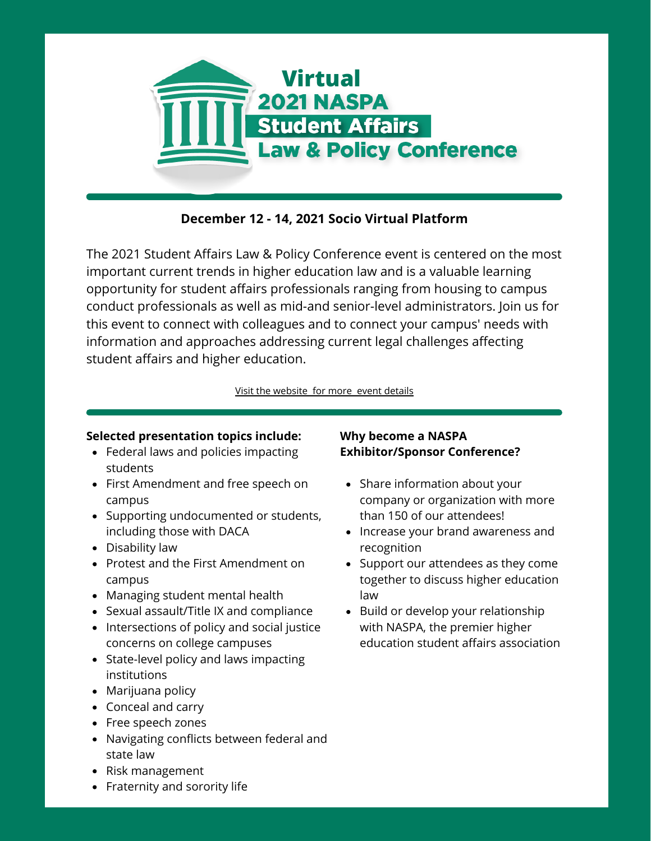

## **December 12 - 14, 2021 Socio Virtual Platform**

The 2021 Student Affairs Law & Policy Conference event is centered on the most important current trends in higher education law and is a valuable learning opportunity for student affairs professionals ranging from housing to campus conduct professionals as well as mid-and senior-level administrators. Join us for this event to connect with colleagues and to connect your campus' needs with information and approaches addressing current legal challenges affecting student affairs and higher education.

[Visit the website for more event details](https://www.naspa.org/events/naspa-student-affairs-law-and-policy-conference)

#### **Selected presentation topics include:**

- Federal laws and policies impacting students
- First Amendment and free speech on campus
- Supporting undocumented or students, including those with DACA
- Disability law
- Protest and the First Amendment on campus
- Managing student mental health
- Sexual assault/Title IX and compliance
- Intersections of policy and social justice concerns on college campuses
- State-level policy and laws impacting institutions
- Marijuana policy
- Conceal and carry
- Free speech zones
- Navigating conflicts between federal and state law
- Risk management
- Fraternity and sorority life

### **Why become a NASPA Exhibitor/Sponsor Conference?**

- Share information about your company or organization with more than 150 of our attendees!
- Increase your brand awareness and recognition
- Support our attendees as they come together to discuss higher education law
- Build or develop your relationship with NASPA, the premier higher education student affairs association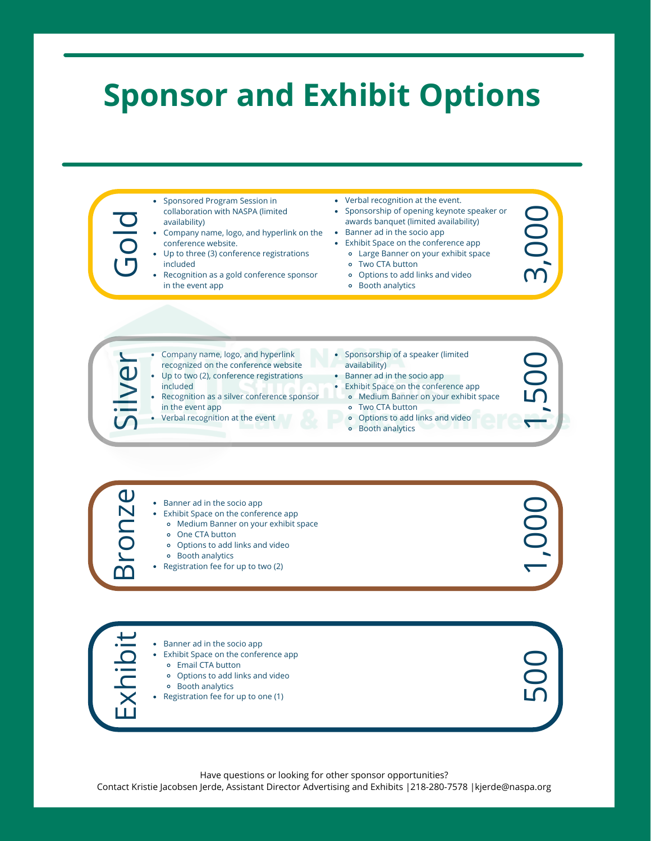# **Sponsor and Exhibit Options**

Contact Kristie Jacobsen Jerde, Assistant Director Advertising and Exhibits |218-280-7578 |kjerde@naspa.org<br>
Contact Kristie Jacobsen Jerde, Assistant Director Advertision |<br>
Contact Kristie Jacobsen Jerde, Assistant Direc • Sponsored Program Session in collaboration with NASPA (limited availability) Company name, logo, and hyperlink on the conference website. Up to three (3) conference registrations included Recognition as a gold conference sponsor in the event app Company name, logo, and hyperlink recognized on the conference website Up to two (2), conference registrations included Sponsorship of a speaker (limited availability) Banner ad in the socio app Exhibit Space on the conference app Verbal recognition at the event. • Sponsorship of opening keynote speaker or awards banquet (limited availability) Banner ad in the socio app Exhibit Space on the conference app Large Banner on your exhibit space Two CTA button Options to add links and video Booth analytics

- Recognition as a silver conference sponsor in the event app
- Verbal recognition at the event
- Medium Banner on your exhibit space
- 
- Two CTA button
- Options to add links and video
- Booth analytics



Banner ad in the socio app Exhibit Space on the conference app Email CTA button Options to add links and video Booth analytics Registration fee for up to one (1)

Have questions or looking for other sponsor opportunities?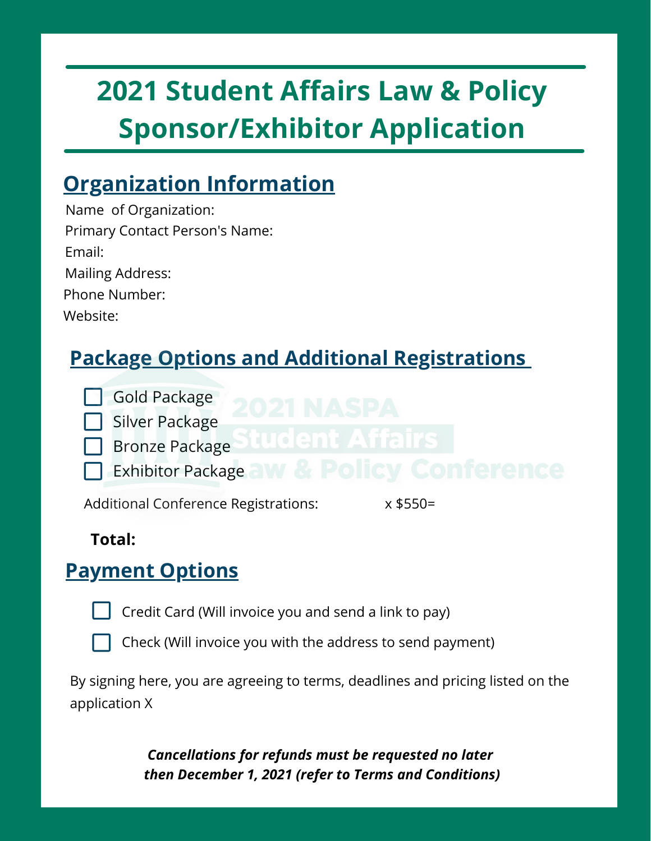# **2021 Student Affairs Law & Policy Sponsor/Exhibitor Application**

# **Organization Information**

Name of Organization: Primary Contact Person's Name: Email: Mailing Address: Website: Phone Number:

# **Package Options and Additional Registrations**



Silver Package

- Bronze Package
- Exhibitor Package

Additional Conference Registrations: x \$550=

## **Total:**

# **Payment Options**

- 
- Credit Card (Will invoice you and send a link to pay)



Check (Will invoice you with the address to send payment)

By signing here, you are agreeing to terms, deadlines and pricing listed on the application X

> *Cancellations for refunds must be requested no later then December 1, 2021 (refer to Terms and Conditions)*